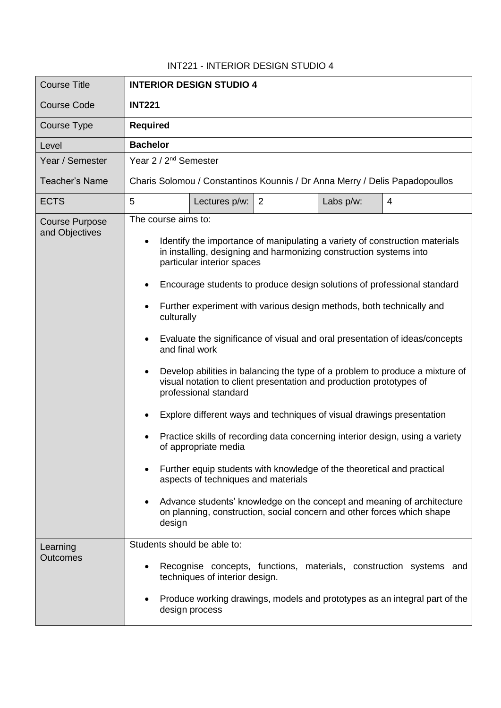## INT221 - INTERIOR DESIGN STUDIO 4

| <b>Course Title</b>                     | <b>INTERIOR DESIGN STUDIO 4</b>                                                                                                                                                                                                                                                                                                                                                                                                                                                                                                                                                                                                                                                                                                                                                                                                                                                                                                                                                                                                                                                                                                |  |  |  |
|-----------------------------------------|--------------------------------------------------------------------------------------------------------------------------------------------------------------------------------------------------------------------------------------------------------------------------------------------------------------------------------------------------------------------------------------------------------------------------------------------------------------------------------------------------------------------------------------------------------------------------------------------------------------------------------------------------------------------------------------------------------------------------------------------------------------------------------------------------------------------------------------------------------------------------------------------------------------------------------------------------------------------------------------------------------------------------------------------------------------------------------------------------------------------------------|--|--|--|
| <b>Course Code</b>                      | <b>INT221</b>                                                                                                                                                                                                                                                                                                                                                                                                                                                                                                                                                                                                                                                                                                                                                                                                                                                                                                                                                                                                                                                                                                                  |  |  |  |
| Course Type                             | <b>Required</b>                                                                                                                                                                                                                                                                                                                                                                                                                                                                                                                                                                                                                                                                                                                                                                                                                                                                                                                                                                                                                                                                                                                |  |  |  |
| Level                                   | <b>Bachelor</b>                                                                                                                                                                                                                                                                                                                                                                                                                                                                                                                                                                                                                                                                                                                                                                                                                                                                                                                                                                                                                                                                                                                |  |  |  |
| Year / Semester                         | Year 2 / 2 <sup>nd</sup> Semester                                                                                                                                                                                                                                                                                                                                                                                                                                                                                                                                                                                                                                                                                                                                                                                                                                                                                                                                                                                                                                                                                              |  |  |  |
| <b>Teacher's Name</b>                   | Charis Solomou / Constantinos Kounnis / Dr Anna Merry / Delis Papadopoullos                                                                                                                                                                                                                                                                                                                                                                                                                                                                                                                                                                                                                                                                                                                                                                                                                                                                                                                                                                                                                                                    |  |  |  |
| <b>ECTS</b>                             | 5<br>2<br>Lectures p/w:<br>Labs p/w:<br>$\overline{4}$                                                                                                                                                                                                                                                                                                                                                                                                                                                                                                                                                                                                                                                                                                                                                                                                                                                                                                                                                                                                                                                                         |  |  |  |
| <b>Course Purpose</b><br>and Objectives | The course aims to:<br>Identify the importance of manipulating a variety of construction materials<br>in installing, designing and harmonizing construction systems into<br>particular interior spaces<br>Encourage students to produce design solutions of professional standard<br>Further experiment with various design methods, both technically and<br>culturally<br>Evaluate the significance of visual and oral presentation of ideas/concepts<br>and final work<br>Develop abilities in balancing the type of a problem to produce a mixture of<br>٠<br>visual notation to client presentation and production prototypes of<br>professional standard<br>Explore different ways and techniques of visual drawings presentation<br>Practice skills of recording data concerning interior design, using a variety<br>of appropriate media<br>Further equip students with knowledge of the theoretical and practical<br>aspects of techniques and materials<br>Advance students' knowledge on the concept and meaning of architecture<br>on planning, construction, social concern and other forces which shape<br>design |  |  |  |
| Learning<br><b>Outcomes</b>             | Students should be able to:<br>Recognise concepts, functions, materials, construction systems and<br>techniques of interior design.<br>Produce working drawings, models and prototypes as an integral part of the<br>design process                                                                                                                                                                                                                                                                                                                                                                                                                                                                                                                                                                                                                                                                                                                                                                                                                                                                                            |  |  |  |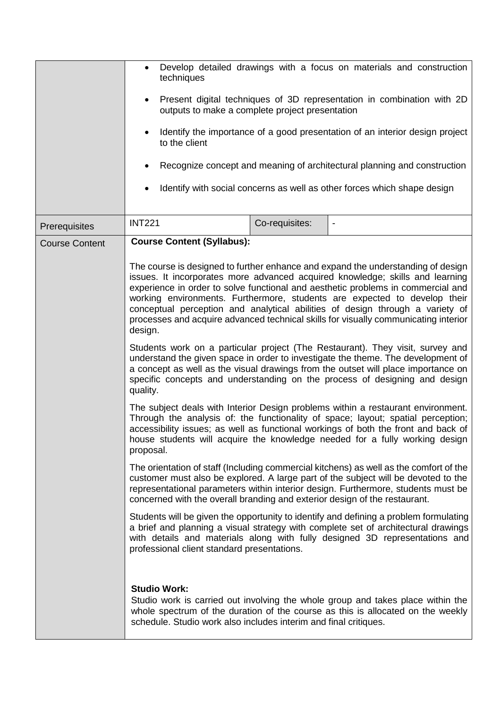|                       | techniques<br>$\bullet$<br>outputs to make a complete project presentation<br>to the client                                                                                                                                                                                                                                                            |                | Develop detailed drawings with a focus on materials and construction<br>Present digital techniques of 3D representation in combination with 2D<br>Identify the importance of a good presentation of an interior design project<br>Recognize concept and meaning of architectural planning and construction<br>Identify with social concerns as well as other forces which shape design |  |
|-----------------------|--------------------------------------------------------------------------------------------------------------------------------------------------------------------------------------------------------------------------------------------------------------------------------------------------------------------------------------------------------|----------------|----------------------------------------------------------------------------------------------------------------------------------------------------------------------------------------------------------------------------------------------------------------------------------------------------------------------------------------------------------------------------------------|--|
| Prerequisites         | <b>INT221</b>                                                                                                                                                                                                                                                                                                                                          | Co-requisites: | $\qquad \qquad \blacksquare$                                                                                                                                                                                                                                                                                                                                                           |  |
| <b>Course Content</b> | <b>Course Content (Syllabus):</b>                                                                                                                                                                                                                                                                                                                      |                | The course is designed to further enhance and expand the understanding of design<br>issues. It incorporates more advanced acquired knowledge; skills and learning<br>experience in order to solve functional and aesthetic problems in commercial and                                                                                                                                  |  |
|                       | design.                                                                                                                                                                                                                                                                                                                                                |                | working environments. Furthermore, students are expected to develop their<br>conceptual perception and analytical abilities of design through a variety of<br>processes and acquire advanced technical skills for visually communicating interior                                                                                                                                      |  |
|                       | Students work on a particular project (The Restaurant). They visit, survey and<br>understand the given space in order to investigate the theme. The development of<br>a concept as well as the visual drawings from the outset will place importance on<br>specific concepts and understanding on the process of designing and design<br>quality.      |                |                                                                                                                                                                                                                                                                                                                                                                                        |  |
|                       | The subject deals with Interior Design problems within a restaurant environment.<br>Through the analysis of: the functionality of space; layout; spatial perception;<br>accessibility issues; as well as functional workings of both the front and back of<br>house students will acquire the knowledge needed for a fully working design<br>proposal. |                |                                                                                                                                                                                                                                                                                                                                                                                        |  |
|                       | The orientation of staff (Including commercial kitchens) as well as the comfort of the<br>customer must also be explored. A large part of the subject will be devoted to the<br>representational parameters within interior design. Furthermore, students must be<br>concerned with the overall branding and exterior design of the restaurant.        |                |                                                                                                                                                                                                                                                                                                                                                                                        |  |
|                       | professional client standard presentations.                                                                                                                                                                                                                                                                                                            |                | Students will be given the opportunity to identify and defining a problem formulating<br>a brief and planning a visual strategy with complete set of architectural drawings<br>with details and materials along with fully designed 3D representations and                                                                                                                             |  |
|                       | <b>Studio Work:</b><br>schedule. Studio work also includes interim and final critiques.                                                                                                                                                                                                                                                                |                | Studio work is carried out involving the whole group and takes place within the<br>whole spectrum of the duration of the course as this is allocated on the weekly                                                                                                                                                                                                                     |  |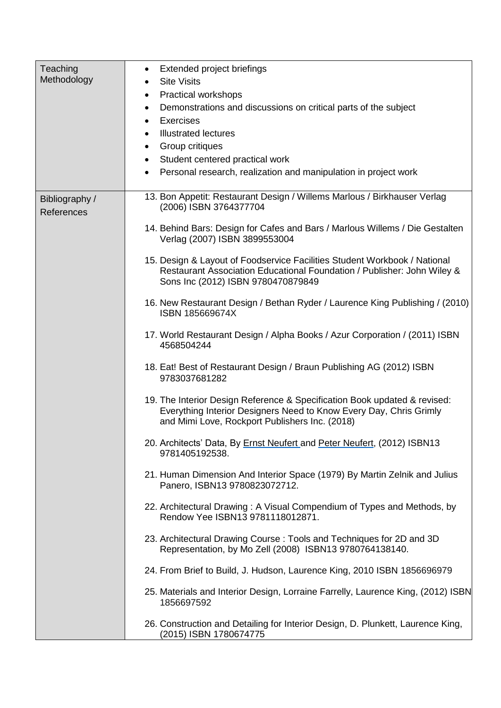| Teaching<br>Methodology      | Extended project briefings<br>$\bullet$<br><b>Site Visits</b><br>٠<br><b>Practical workshops</b><br>٠<br>Demonstrations and discussions on critical parts of the subject<br>٠<br><b>Exercises</b><br>$\bullet$<br><b>Illustrated lectures</b><br>٠<br>Group critiques<br>٠<br>Student centered practical work<br>$\bullet$<br>Personal research, realization and manipulation in project work<br>٠ |
|------------------------------|----------------------------------------------------------------------------------------------------------------------------------------------------------------------------------------------------------------------------------------------------------------------------------------------------------------------------------------------------------------------------------------------------|
| Bibliography /<br>References | 13. Bon Appetit: Restaurant Design / Willems Marlous / Birkhauser Verlag<br>(2006) ISBN 3764377704<br>14. Behind Bars: Design for Cafes and Bars / Marlous Willems / Die Gestalten<br>Verlag (2007) ISBN 3899553004                                                                                                                                                                                |
|                              | 15. Design & Layout of Foodservice Facilities Student Workbook / National<br>Restaurant Association Educational Foundation / Publisher: John Wiley &<br>Sons Inc (2012) ISBN 9780470879849                                                                                                                                                                                                         |
|                              | 16. New Restaurant Design / Bethan Ryder / Laurence King Publishing / (2010)<br>ISBN 185669674X                                                                                                                                                                                                                                                                                                    |
|                              | 17. World Restaurant Design / Alpha Books / Azur Corporation / (2011) ISBN<br>4568504244                                                                                                                                                                                                                                                                                                           |
|                              | 18. Eat! Best of Restaurant Design / Braun Publishing AG (2012) ISBN<br>9783037681282                                                                                                                                                                                                                                                                                                              |
|                              | 19. The Interior Design Reference & Specification Book updated & revised:<br>Everything Interior Designers Need to Know Every Day, Chris Grimly<br>and Mimi Love, Rockport Publishers Inc. (2018)                                                                                                                                                                                                  |
|                              | 20. Architects' Data, By Ernst Neufert and Peter Neufert, (2012) ISBN13<br>9781405192538.                                                                                                                                                                                                                                                                                                          |
|                              | 21. Human Dimension And Interior Space (1979) By Martin Zelnik and Julius<br>Panero, ISBN13 9780823072712.                                                                                                                                                                                                                                                                                         |
|                              | 22. Architectural Drawing: A Visual Compendium of Types and Methods, by<br>Rendow Yee ISBN13 9781118012871.                                                                                                                                                                                                                                                                                        |
|                              | 23. Architectural Drawing Course: Tools and Techniques for 2D and 3D<br>Representation, by Mo Zell (2008) ISBN13 9780764138140.                                                                                                                                                                                                                                                                    |
|                              | 24. From Brief to Build, J. Hudson, Laurence King, 2010 ISBN 1856696979                                                                                                                                                                                                                                                                                                                            |
|                              | 25. Materials and Interior Design, Lorraine Farrelly, Laurence King, (2012) ISBN<br>1856697592                                                                                                                                                                                                                                                                                                     |
|                              | 26. Construction and Detailing for Interior Design, D. Plunkett, Laurence King,<br>(2015) ISBN 1780674775                                                                                                                                                                                                                                                                                          |